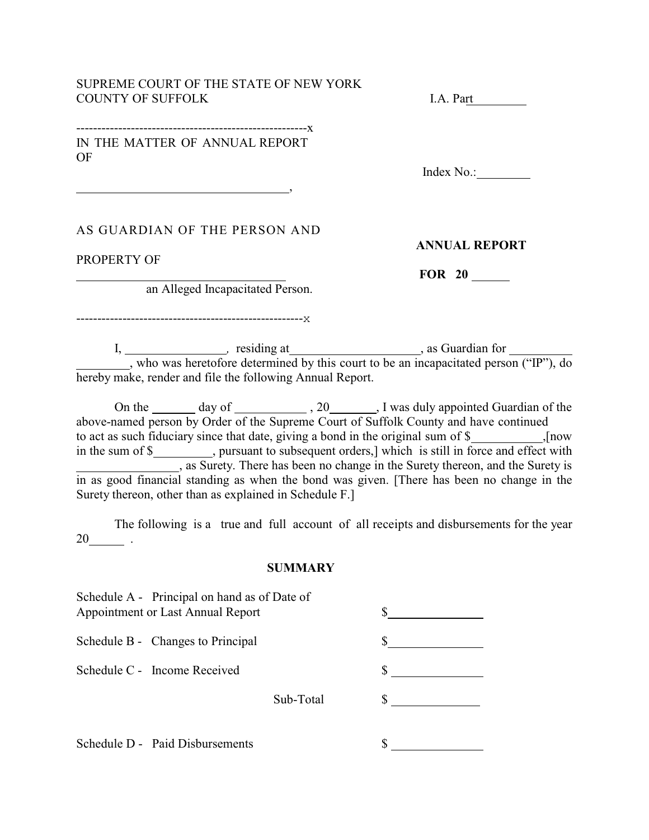#### SUPREME COURT OF THE STATE OF NEW YORK COUNTY OF SUFFOLK I.A. Part

#### -------------------------------------------------------x IN THE MATTER OF ANNUAL REPORT OF

, which is a set of the set of the set of the set of the set of the set of the set of the set of the set of the set of the set of the set of the set of the set of the set of the set of the set of the set of the set of the

Index No.:

## AS GUARDIAN OF THE PERSON AND

PROPERTY OF

 $\overline{a}$ 

 **ANNUAL REPORT**

 **FOR 20** 

an Alleged Incapacitated Person.

------------------------------------------------------x

I, 1, 1, 2008, 1, 2008, 1, 2008, 1, 2008, 1, 2008, 1, 2008, 1, 2008, 1, 2008, 1, 2008, 1, 2008, 1, 2008, 1, 200 , who was heretofore determined by this court to be an incapacitated person ("IP"), do hereby make, render and file the following Annual Report.

On the <u>come day of subseteed</u>, 20 and all appointed Guardian of the above-named person by Order of the Supreme Court of Suffolk County and have continued to act as such fiduciary since that date, giving a bond in the original sum of \$ ,[now in the sum of \$\_\_\_\_\_\_\_\_\_\_, pursuant to subsequent orders,] which is still in force and effect with **EXECUTE:** As Surety. There has been no change in the Surety thereon, and the Surety is in as good financial standing as when the bond was given. [There has been no change in the Surety thereon, other than as explained in Schedule F.]

The following is a true and full account of all receipts and disbursements for the year  $20$  .

#### **SUMMARY**

|                                   | Schedule A - Principal on hand as of Date of |           |  |
|-----------------------------------|----------------------------------------------|-----------|--|
| Appointment or Last Annual Report |                                              |           |  |
|                                   | Schedule B - Changes to Principal            |           |  |
|                                   | Schedule C - Income Received                 |           |  |
|                                   |                                              | Sub-Total |  |
|                                   | Schedule D - Paid Disbursements              |           |  |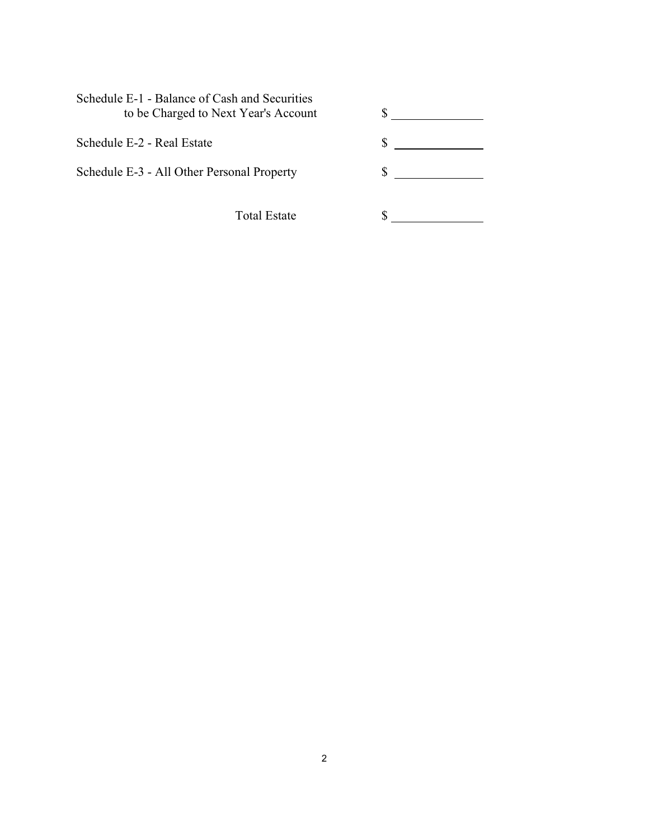| Schedule E-1 - Balance of Cash and Securities<br>to be Charged to Next Year's Account |   |  |
|---------------------------------------------------------------------------------------|---|--|
| Schedule E-2 - Real Estate                                                            |   |  |
| Schedule E-3 - All Other Personal Property                                            | S |  |
| <b>Total Estate</b>                                                                   |   |  |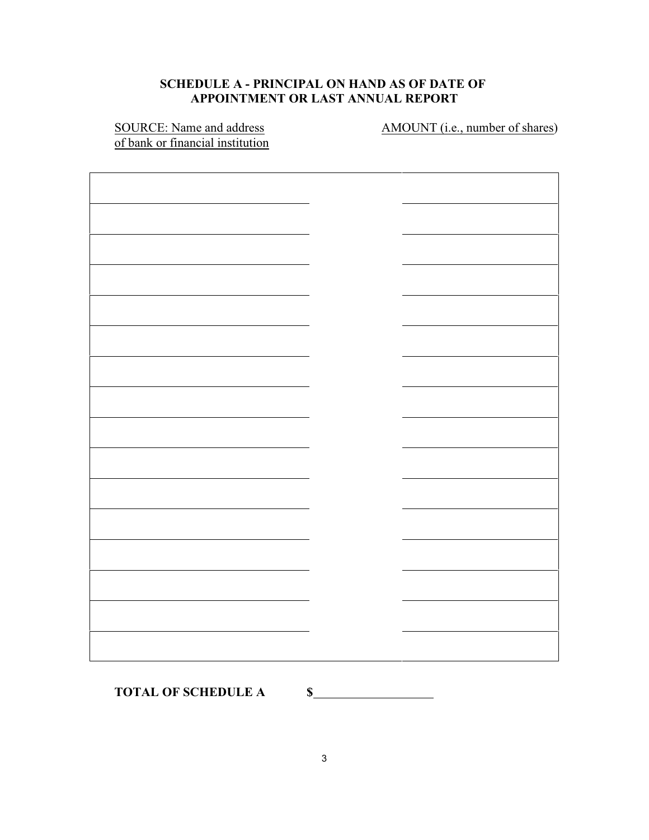# **SCHEDULE A - PRINCIPAL ON HAND AS OF DATE OF APPOINTMENT OR LAST ANNUAL REPORT**

of bank or financial institution

SOURCE: Name and address AMOUNT (i.e., number of shares)

TOTAL OF SCHEDULE A \$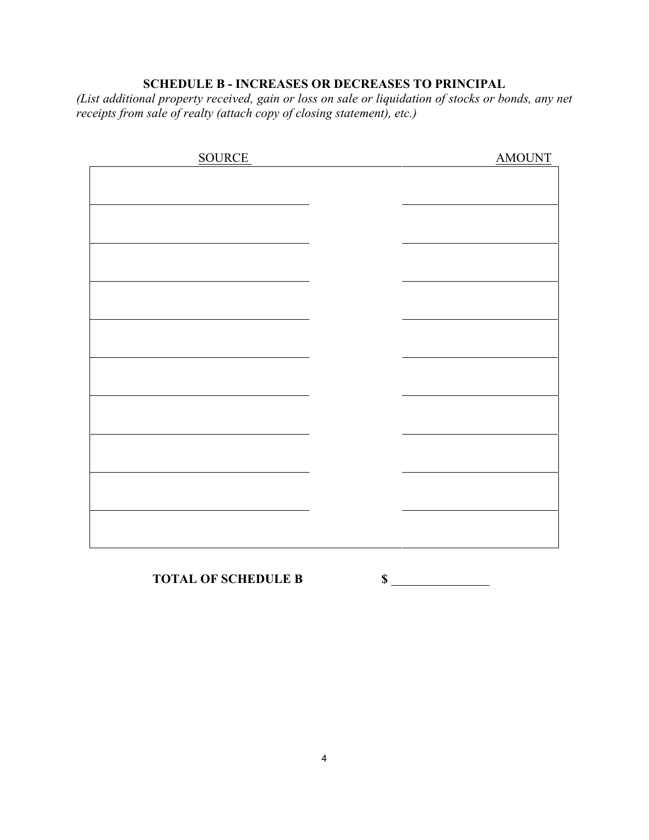# **SCHEDULE B - INCREASES OR DECREASES TO PRINCIPAL**

*(List additional property received, gain or loss on sale or liquidation of stocks or bonds, any net receipts from sale of realty (attach copy of closing statement), etc.)*

| <b>SOURCE</b> | <b>AMOUNT</b> |
|---------------|---------------|
|               |               |
|               |               |
|               |               |
|               |               |
|               |               |
|               |               |
|               |               |
|               |               |
|               |               |
|               |               |
|               |               |
|               |               |
|               |               |
|               |               |
|               |               |
|               |               |
|               |               |
|               |               |
|               |               |
|               |               |
|               |               |

# **TOTAL OF SCHEDULE B \$**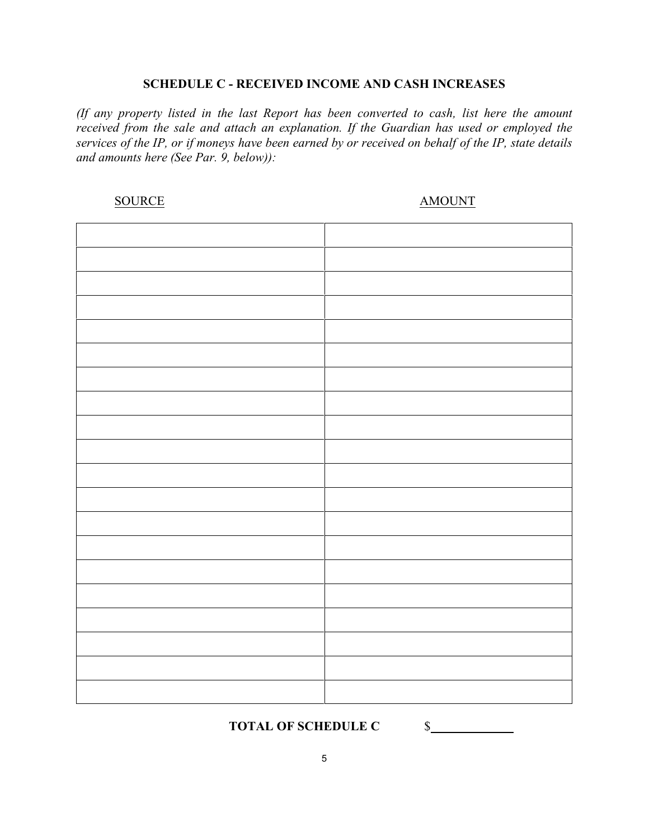#### **SCHEDULE C - RECEIVED INCOME AND CASH INCREASES**

*(If any property listed in the last Report has been converted to cash, list here the amount received from the sale and attach an explanation. If the Guardian has used or employed the services of the IP, or if moneys have been earned by or received on behalf of the IP, state details and amounts here (See Par. 9, below)):*

SOURCE AMOUNT

**TOTAL OF SCHEDULE C** \$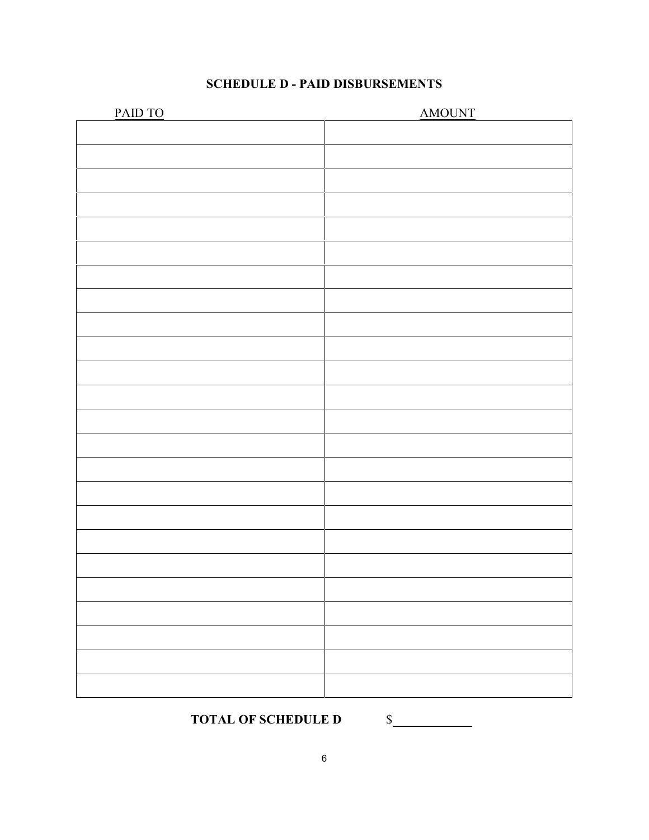|  | <b>SCHEDULE D - PAID DISBURSEMENTS</b> |
|--|----------------------------------------|
|--|----------------------------------------|

| PAID TO | <b>AMOUNT</b> |
|---------|---------------|
|         |               |
|         |               |
|         |               |
|         |               |
|         |               |
|         |               |
|         |               |
|         |               |
|         |               |
|         |               |
|         |               |
|         |               |
|         |               |
|         |               |
|         |               |
|         |               |
|         |               |
|         |               |
|         |               |
|         |               |
|         |               |
|         |               |
|         |               |
|         |               |
|         |               |
|         |               |
|         |               |
|         |               |
|         |               |
|         |               |

TOTAL OF SCHEDULE D \$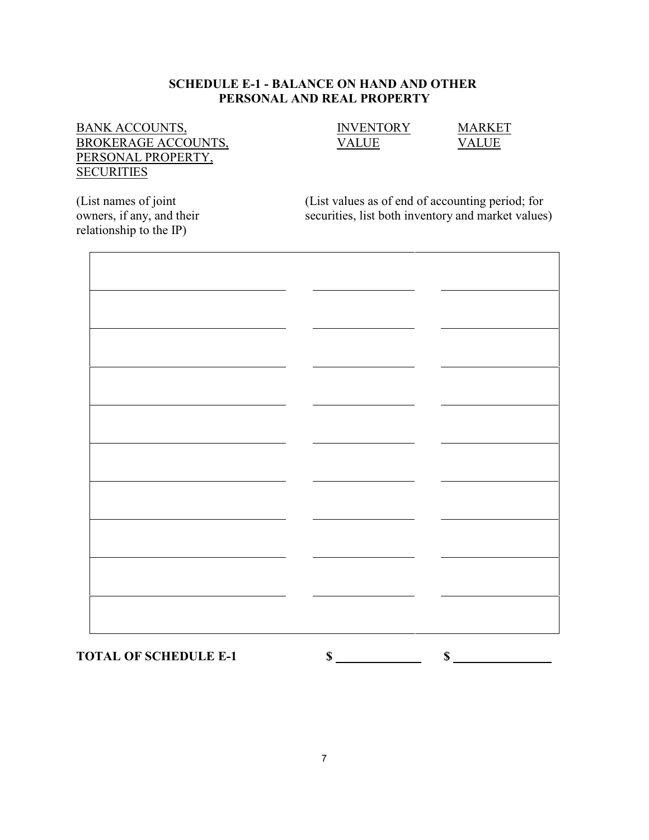## **SCHEDULE E-1 - BALANCE ON HAND AND OTHER PERSONAL AND REAL PROPERTY**

# $\underline{\begin{array}{cccc}\text{BANK ACCOUNTS,}}\\ \text{BROKERAGE ACCOUNTS,} \end{array}} \qquad \qquad \underline{\begin{array}{cccc}\text{INVENTORY} \\ \text{VALUE} \end{array}} \qquad \qquad \underline{\begin{array}{cccc}\text{MARKET}\\ \text{VALUE} \end{array}}$ BROKERAGE ACCOUNTS, PERSONAL PROPERTY, **SECURITIES**

relationship to the IP)

(List names of joint (List values as of end of accounting period; for owners, if any, and their securities, list both inventory and market values securities, list both inventory and market values)

**TOTAL OF SCHEDULE E-1** \$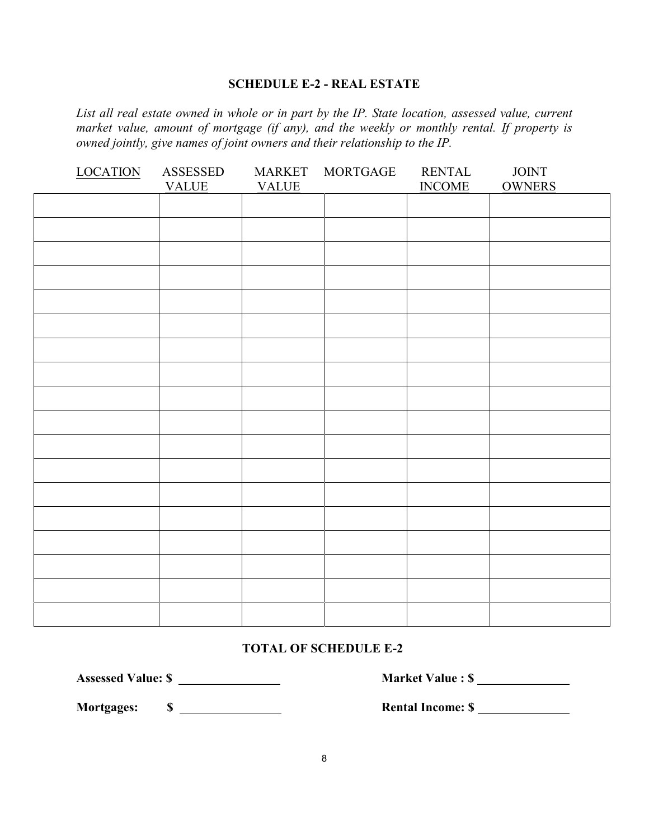#### **SCHEDULE E-2 - REAL ESTATE**

*List all real estate owned in whole or in part by the IP. State location, assessed value, current market value, amount of mortgage (if any), and the weekly or monthly rental. If property is owned jointly, give names of joint owners and their relationship to the IP.*

| <b>LOCATION</b> | ASSESSED<br><b>VALUE</b> | <b>MARKET</b><br><b>VALUE</b> | <b>MORTGAGE</b> | <b>RENTAL</b><br><b>INCOME</b> | <b>JOINT</b><br><b>OWNERS</b> |
|-----------------|--------------------------|-------------------------------|-----------------|--------------------------------|-------------------------------|
|                 |                          |                               |                 |                                |                               |
|                 |                          |                               |                 |                                |                               |
|                 |                          |                               |                 |                                |                               |
|                 |                          |                               |                 |                                |                               |
|                 |                          |                               |                 |                                |                               |
|                 |                          |                               |                 |                                |                               |
|                 |                          |                               |                 |                                |                               |
|                 |                          |                               |                 |                                |                               |
|                 |                          |                               |                 |                                |                               |
|                 |                          |                               |                 |                                |                               |
|                 |                          |                               |                 |                                |                               |
|                 |                          |                               |                 |                                |                               |
|                 |                          |                               |                 |                                |                               |
|                 |                          |                               |                 |                                |                               |
|                 |                          |                               |                 |                                |                               |
|                 |                          |                               |                 |                                |                               |
|                 |                          |                               |                 |                                |                               |
|                 |                          |                               |                 |                                |                               |

#### **TOTAL OF SCHEDULE E-2**

**Assessed Value: \$ Market Value : \$** 

**Mortgages: \$ Rental Income: \$**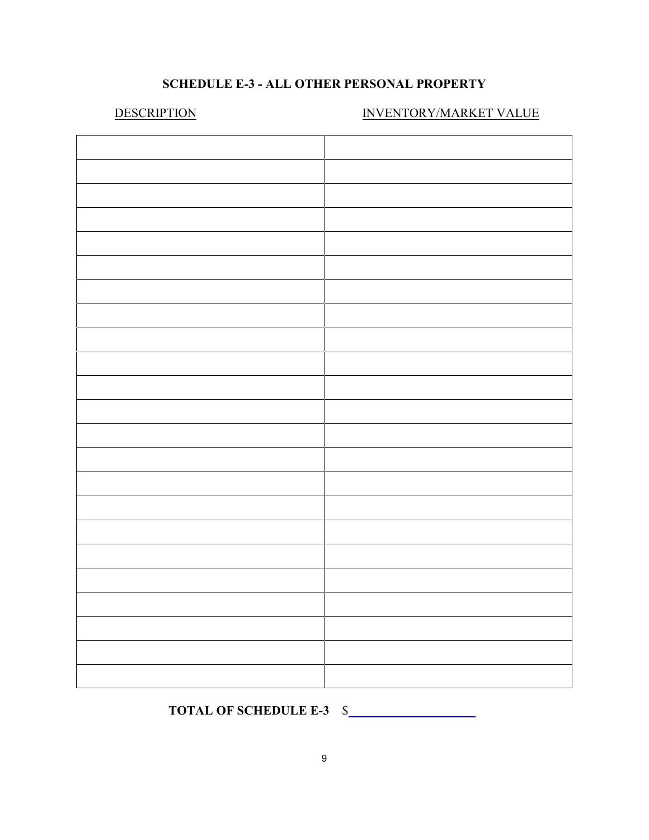# **SCHEDULE E-3 - ALL OTHER PERSONAL PROPERTY**

# DESCRIPTION INVENTORY/MARKET VALUE

# **TOTAL OF SCHEDULE E-3** \$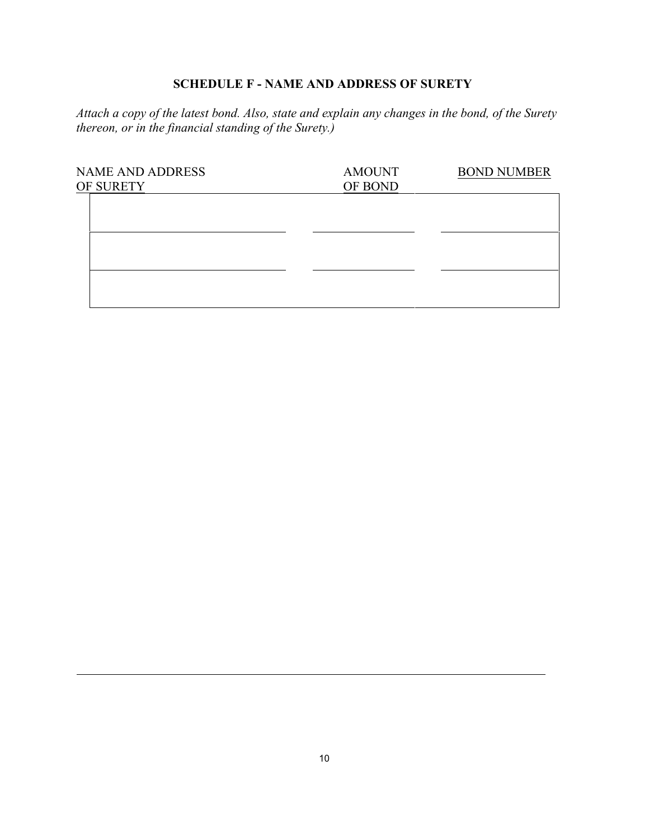# **SCHEDULE F - NAME AND ADDRESS OF SURETY**

*Attach a copy of the latest bond. Also, state and explain any changes in the bond, of the Surety thereon, or in the financial standing of the Surety.)*

| <b>NAME AND ADDRESS</b><br>OF SURETY | <b>AMOUNT</b><br>OF BOND | <b>BOND NUMBER</b> |
|--------------------------------------|--------------------------|--------------------|
|                                      |                          |                    |
|                                      |                          |                    |
|                                      |                          |                    |
|                                      |                          |                    |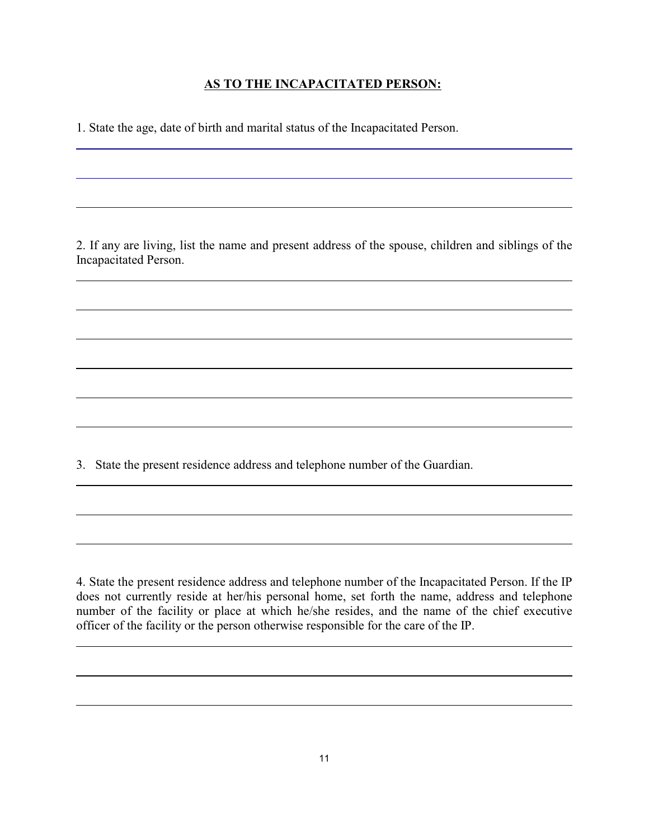## **AS TO THE INCAPACITATED PERSON:**

1. State the age, date of birth and marital status of the Incapacitated Person.

 $\overline{a}$ 

 $\overline{a}$ 

 $\overline{a}$ 

2. If any are living, list the name and present address of the spouse, children and siblings of the Incapacitated Person.

3. State the present residence address and telephone number of the Guardian.

4. State the present residence address and telephone number of the Incapacitated Person. If the IP does not currently reside at her/his personal home, set forth the name, address and telephone number of the facility or place at which he/she resides, and the name of the chief executive officer of the facility or the person otherwise responsible for the care of the IP.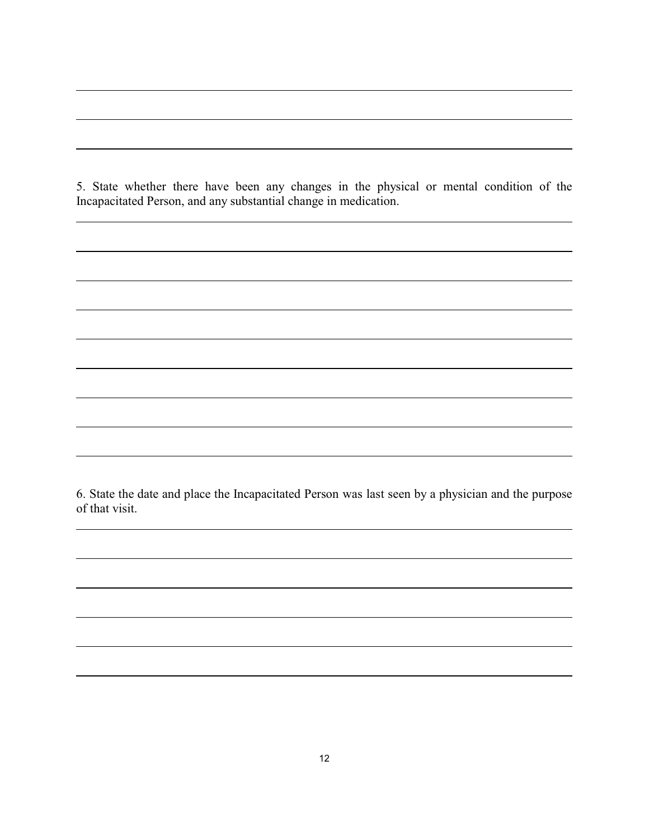5. State whether there have been any changes in the physical or mental condition of the Incapacitated Person, and any substantial change in medication.

 $\overline{a}$ 

 $\overline{a}$ 

 $\overline{a}$ 

6. State the date and place the Incapacitated Person was last seen by a physician and the purpose of that visit.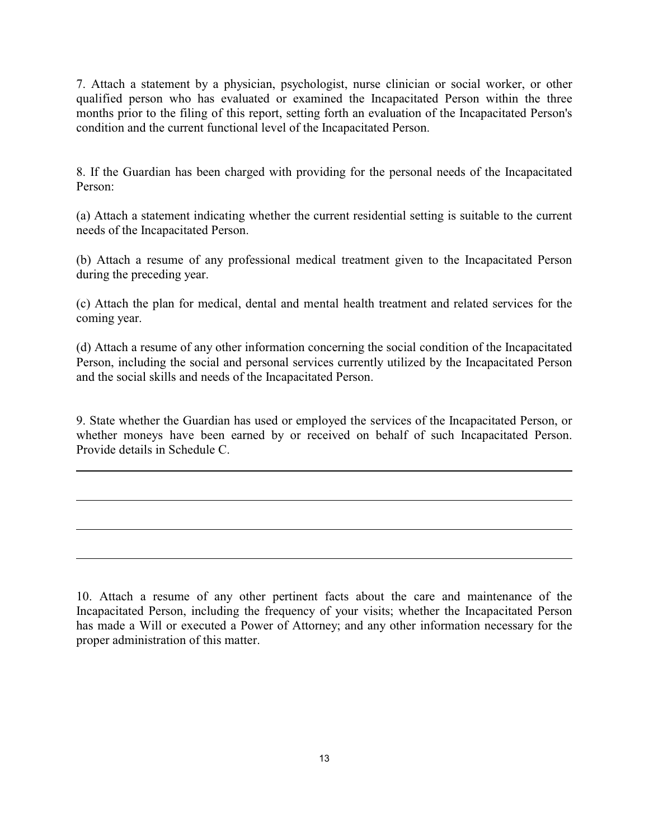7. Attach a statement by a physician, psychologist, nurse clinician or social worker, or other qualified person who has evaluated or examined the Incapacitated Person within the three months prior to the filing of this report, setting forth an evaluation of the Incapacitated Person's condition and the current functional level of the Incapacitated Person.

8. If the Guardian has been charged with providing for the personal needs of the Incapacitated Person:

(a) Attach a statement indicating whether the current residential setting is suitable to the current needs of the Incapacitated Person.

(b) Attach a resume of any professional medical treatment given to the Incapacitated Person during the preceding year.

(c) Attach the plan for medical, dental and mental health treatment and related services for the coming year.

(d) Attach a resume of any other information concerning the social condition of the Incapacitated Person, including the social and personal services currently utilized by the Incapacitated Person and the social skills and needs of the Incapacitated Person.

9. State whether the Guardian has used or employed the services of the Incapacitated Person, or whether moneys have been earned by or received on behalf of such Incapacitated Person. Provide details in Schedule C.

 $\overline{a}$ 

10. Attach a resume of any other pertinent facts about the care and maintenance of the Incapacitated Person, including the frequency of your visits; whether the Incapacitated Person has made a Will or executed a Power of Attorney; and any other information necessary for the proper administration of this matter.